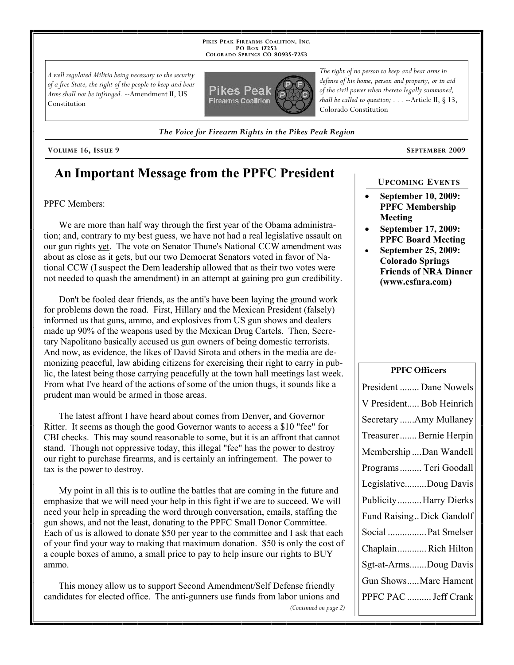**PIKES PEAK FIREARMS COALITION, INC. PO BOX 17253 COLORADO SPRINGS CO 80935 -7253**

*A well regulated Militia being necessary to the security of a free State, the right of the people to keep and bear Arms shall not be infringed.* --Amendment II, US Constitution



*The Voice for Firearm Rights in the Pikes Peak Region*

#### **VOLUME 16, ISSUE 9 SEPTEMBER 2009**

### **An Important Message from the PPFC President**

#### PPFC Members:

We are more than half way through the first year of the Obama administration; and, contrary to my best guess, we have not had a real legislative assault on our gun rights yet. The vote on Senator Thune's National CCW amendment was about as close as it gets, but our two Democrat Senators voted in favor of National CCW (I suspect the Dem leadership allowed that as their two votes were not needed to quash the amendment) in an attempt at gaining pro gun credibility.

Don't be fooled dear friends, as the anti's have been laying the ground work for problems down the road. First, Hillary and the Mexican President (falsely) informed us that guns, ammo, and explosives from US gun shows and dealers made up 90% of the weapons used by the Mexican Drug Cartels. Then, Secretary Napolitano basically accused us gun owners of being domestic terrorists. And now, as evidence, the likes of David Sirota and others in the media are demonizing peaceful, law abiding citizens for exercising their right to carry in public, the latest being those carrying peacefully at the town hall meetings last week. From what I've heard of the actions of some of the union thugs, it sounds like a prudent man would be armed in those areas.

The latest affront I have heard about comes from Denver, and Governor Ritter. It seems as though the good Governor wants to access a \$10 "fee" for CBI checks. This may sound reasonable to some, but it is an affront that cannot stand. Though not oppressive today, this illegal "fee" has the power to destroy our right to purchase firearms, and is certainly an infringement. The power to tax is the power to destroy.

My point in all this is to outline the battles that are coming in the future and emphasize that we will need your help in this fight if we are to succeed. We will need your help in spreading the word through conversation, emails, staffing the gun shows, and not the least, donating to the PPFC Small Donor Committee. Each of us is allowed to donate \$50 per year to the committee and I ask that each of your find your way to making that maximum donation. \$50 is only the cost of a couple boxes of ammo, a small price to pay to help insure our rights to BUY ammo.

This money allow us to support Second Amendment/Self Defense friendly candidates for elected office. The anti-gunners use funds from labor unions and *(Continued on page 2)*

*The right of no person to keep and bear arms in defense of his home, person and property, or in aid of the civil power when thereto legally summoned, shall be called to question; . . .* --Article II, § 13, Colorado Constitution

# **UPCOMING EVENTS**

- **September 10, 2009: PPFC Membership Meeting**
- **September 17, 2009: PPFC Board Meeting**
- **September 25, 2009: Colorado Springs Friends of NRA Dinner (www.csfnra.com)**

#### **PPFC Officers**

| President  Dane Nowels    |
|---------------------------|
| V President Bob Heinrich  |
| Secretary Amy Mullaney    |
| Treasurer Bernie Herpin   |
| Membership Dan Wandell    |
| Programs  Teri Goodall    |
| LegislativeDoug Davis     |
| Publicity Harry Dierks    |
| Fund Raising Dick Gandolf |
| Social  Pat Smelser       |
| ChaplainRich Hilton       |
| Sgt-at-ArmsDoug Davis     |
| Gun ShowsMarc Hament      |
| PPFC PAC  Jeff Crank      |
|                           |